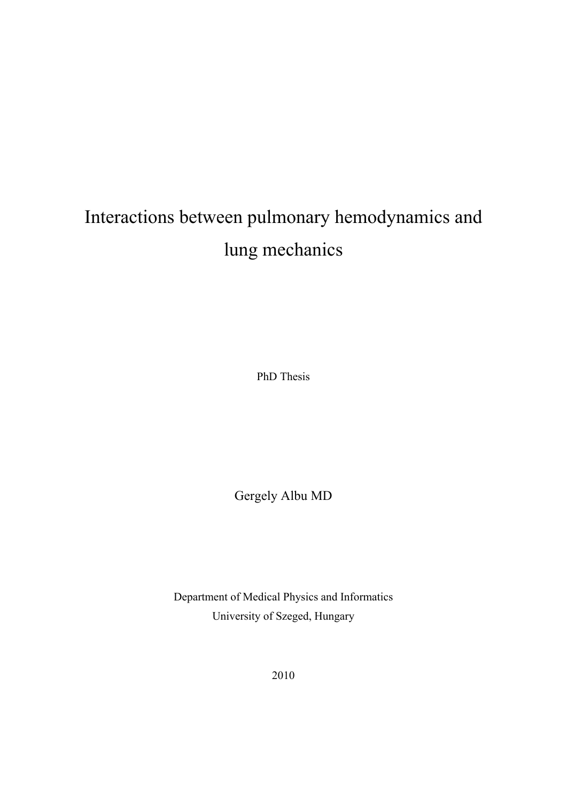# Interactions between pulmonary hemodynamics and lung mechanics

PhD Thesis

Gergely Albu MD

Department of Medical Physics and Informatics University of Szeged, Hungary

2010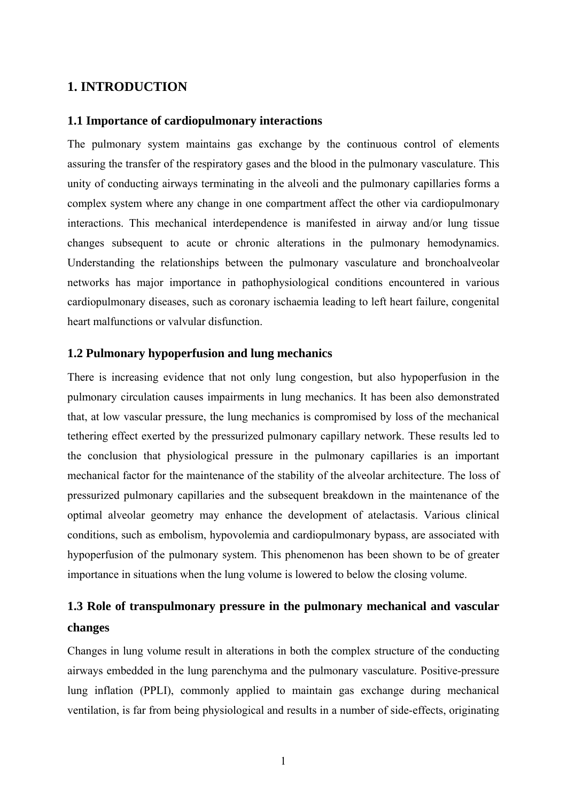## **1. INTRODUCTION**

#### **1.1 Importance of cardiopulmonary interactions**

The pulmonary system maintains gas exchange by the continuous control of elements assuring the transfer of the respiratory gases and the blood in the pulmonary vasculature. This unity of conducting airways terminating in the alveoli and the pulmonary capillaries forms a complex system where any change in one compartment affect the other via cardiopulmonary interactions. This mechanical interdependence is manifested in airway and/or lung tissue changes subsequent to acute or chronic alterations in the pulmonary hemodynamics. Understanding the relationships between the pulmonary vasculature and bronchoalveolar networks has major importance in pathophysiological conditions encountered in various cardiopulmonary diseases, such as coronary ischaemia leading to left heart failure, congenital heart malfunctions or valvular disfunction.

#### **1.2 Pulmonary hypoperfusion and lung mechanics**

There is increasing evidence that not only lung congestion, but also hypoperfusion in the pulmonary circulation causes impairments in lung mechanics. It has been also demonstrated that, at low vascular pressure, the lung mechanics is compromised by loss of the mechanical tethering effect exerted by the pressurized pulmonary capillary network. These results led to the conclusion that physiological pressure in the pulmonary capillaries is an important mechanical factor for the maintenance of the stability of the alveolar architecture. The loss of pressurized pulmonary capillaries and the subsequent breakdown in the maintenance of the optimal alveolar geometry may enhance the development of atelactasis. Various clinical conditions, such as embolism, hypovolemia and cardiopulmonary bypass, are associated with hypoperfusion of the pulmonary system. This phenomenon has been shown to be of greater importance in situations when the lung volume is lowered to below the closing volume.

# **1.3 Role of transpulmonary pressure in the pulmonary mechanical and vascular changes**

Changes in lung volume result in alterations in both the complex structure of the conducting airways embedded in the lung parenchyma and the pulmonary vasculature. Positive-pressure lung inflation (PPLI), commonly applied to maintain gas exchange during mechanical ventilation, is far from being physiological and results in a number of side-effects, originating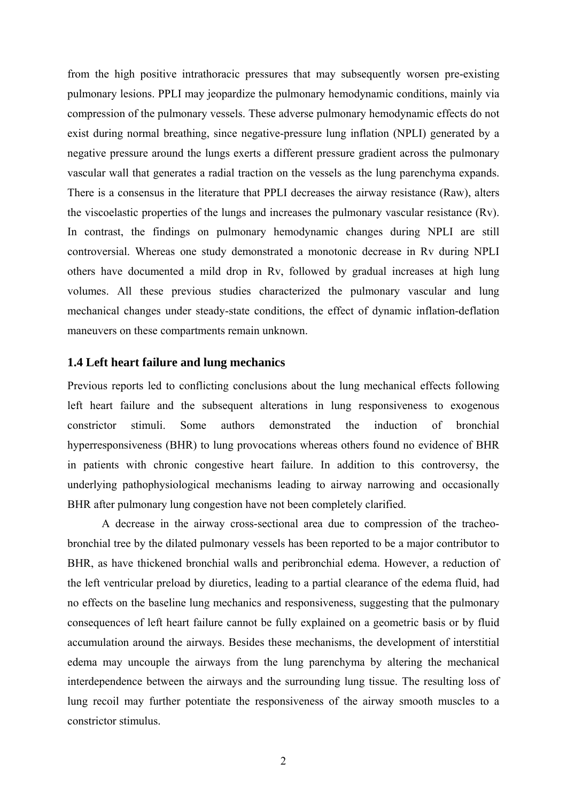from the high positive intrathoracic pressures that may subsequently worsen pre-existing pulmonary lesions. PPLI may jeopardize the pulmonary hemodynamic conditions, mainly via compression of the pulmonary vessels. These adverse pulmonary hemodynamic effects do not exist during normal breathing, since negative-pressure lung inflation (NPLI) generated by a negative pressure around the lungs exerts a different pressure gradient across the pulmonary vascular wall that generates a radial traction on the vessels as the lung parenchyma expands. There is a consensus in the literature that PPLI decreases the airway resistance (Raw), alters the viscoelastic properties of the lungs and increases the pulmonary vascular resistance (Rv). In contrast, the findings on pulmonary hemodynamic changes during NPLI are still controversial. Whereas one study demonstrated a monotonic decrease in Rv during NPLI others have documented a mild drop in Rv, followed by gradual increases at high lung volumes. All these previous studies characterized the pulmonary vascular and lung mechanical changes under steady-state conditions, the effect of dynamic inflation-deflation maneuvers on these compartments remain unknown.

#### **1.4 Left heart failure and lung mechanics**

Previous reports led to conflicting conclusions about the lung mechanical effects following left heart failure and the subsequent alterations in lung responsiveness to exogenous constrictor stimuli. Some authors demonstrated the induction of bronchial hyperresponsiveness (BHR) to lung provocations whereas others found no evidence of BHR in patients with chronic congestive heart failure. In addition to this controversy, the underlying pathophysiological mechanisms leading to airway narrowing and occasionally BHR after pulmonary lung congestion have not been completely clarified.

A decrease in the airway cross-sectional area due to compression of the tracheobronchial tree by the dilated pulmonary vessels has been reported to be a major contributor to BHR, as have thickened bronchial walls and peribronchial edema. However, a reduction of the left ventricular preload by diuretics, leading to a partial clearance of the edema fluid, had no effects on the baseline lung mechanics and responsiveness, suggesting that the pulmonary consequences of left heart failure cannot be fully explained on a geometric basis or by fluid accumulation around the airways. Besides these mechanisms, the development of interstitial edema may uncouple the airways from the lung parenchyma by altering the mechanical interdependence between the airways and the surrounding lung tissue. The resulting loss of lung recoil may further potentiate the responsiveness of the airway smooth muscles to a constrictor stimulus.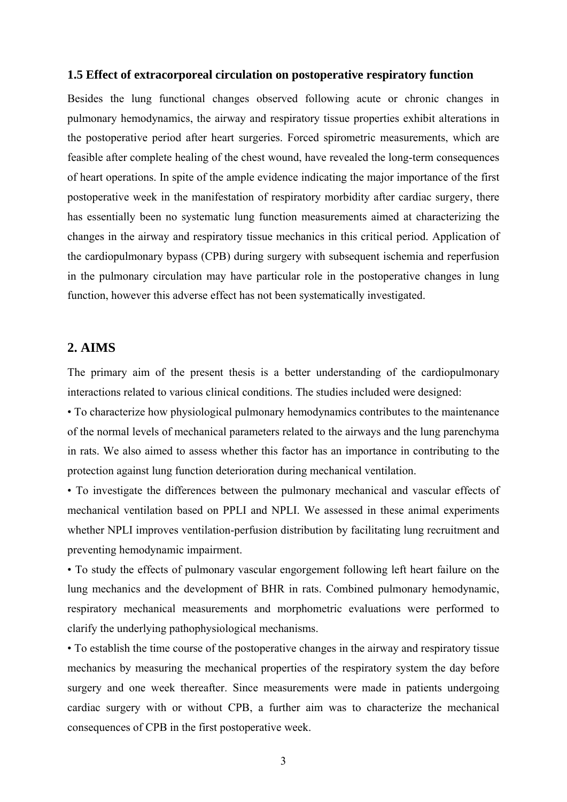#### **1.5 Effect of extracorporeal circulation on postoperative respiratory function**

Besides the lung functional changes observed following acute or chronic changes in pulmonary hemodynamics, the airway and respiratory tissue properties exhibit alterations in the postoperative period after heart surgeries. Forced spirometric measurements, which are feasible after complete healing of the chest wound, have revealed the long-term consequences of heart operations. In spite of the ample evidence indicating the major importance of the first postoperative week in the manifestation of respiratory morbidity after cardiac surgery, there has essentially been no systematic lung function measurements aimed at characterizing the changes in the airway and respiratory tissue mechanics in this critical period. Application of the cardiopulmonary bypass (CPB) during surgery with subsequent ischemia and reperfusion in the pulmonary circulation may have particular role in the postoperative changes in lung function, however this adverse effect has not been systematically investigated.

## **2. AIMS**

The primary aim of the present thesis is a better understanding of the cardiopulmonary interactions related to various clinical conditions. The studies included were designed:

• To characterize how physiological pulmonary hemodynamics contributes to the maintenance of the normal levels of mechanical parameters related to the airways and the lung parenchyma in rats. We also aimed to assess whether this factor has an importance in contributing to the protection against lung function deterioration during mechanical ventilation.

• To investigate the differences between the pulmonary mechanical and vascular effects of mechanical ventilation based on PPLI and NPLI. We assessed in these animal experiments whether NPLI improves ventilation-perfusion distribution by facilitating lung recruitment and preventing hemodynamic impairment.

• To study the effects of pulmonary vascular engorgement following left heart failure on the lung mechanics and the development of BHR in rats. Combined pulmonary hemodynamic, respiratory mechanical measurements and morphometric evaluations were performed to clarify the underlying pathophysiological mechanisms.

• To establish the time course of the postoperative changes in the airway and respiratory tissue mechanics by measuring the mechanical properties of the respiratory system the day before surgery and one week thereafter. Since measurements were made in patients undergoing cardiac surgery with or without CPB, a further aim was to characterize the mechanical consequences of CPB in the first postoperative week.

3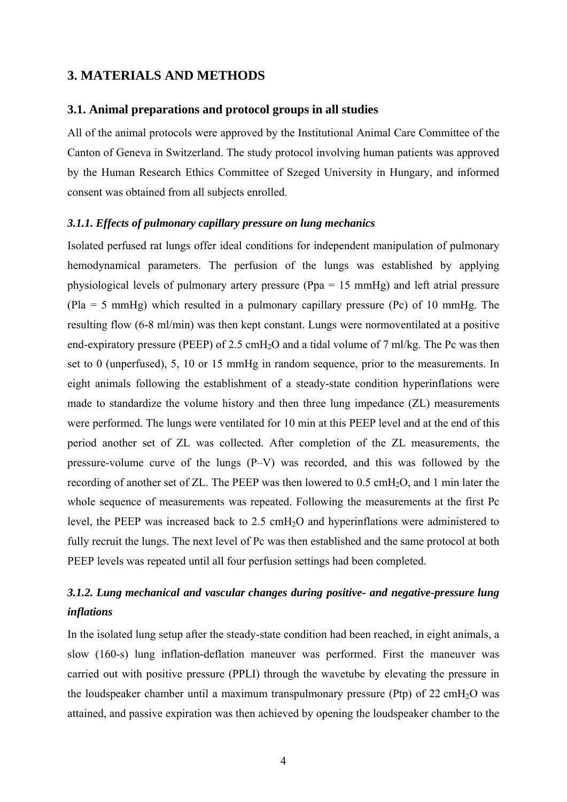## **3. MATERIALS AND METHODS**

#### **3.1. Animal preparations and protocol groups in all studies**

All of the animal protocols were approved by the Institutional Animal Care Committee of the Canton of Geneva in Switzerland. The study protocol involving human patients was approved by the Human Research Ethics Committee of Szeged University in Hungary, and informed consent was obtained from all subjects enrolled.

#### *3.1.1. Effects of pulmonary capillary pressure on lung mechanics*

Isolated perfused rat lungs offer ideal conditions for independent manipulation of pulmonary hemodynamical parameters. The perfusion of the lungs was established by applying physiological levels of pulmonary artery pressure (Ppa = 15 mmHg) and left atrial pressure (Pla = 5 mmHg) which resulted in a pulmonary capillary pressure (Pc) of 10 mmHg. The resulting flow (6-8 ml/min) was then kept constant. Lungs were normoventilated at a positive end-expiratory pressure (PEEP) of 2.5 cmH<sub>2</sub>O and a tidal volume of 7 ml/kg. The Pc was then set to 0 (unperfused), 5, 10 or 15 mmHg in random sequence, prior to the measurements. In eight animals following the establishment of a steady-state condition hyperinflations were made to standardize the volume history and then three lung impedance (ZL) measurements were performed. The lungs were ventilated for 10 min at this PEEP level and at the end of this period another set of ZL was collected. After completion of the ZL measurements, the pressure-volume curve of the lungs (P–V) was recorded, and this was followed by the recording of another set of ZL. The PEEP was then lowered to 0.5 cmH2O, and 1 min later the whole sequence of measurements was repeated. Following the measurements at the first Pc level, the PEEP was increased back to 2.5 cmH2O and hyperinflations were administered to fully recruit the lungs. The next level of Pc was then established and the same protocol at both PEEP levels was repeated until all four perfusion settings had been completed.

# *3.1.2. Lung mechanical and vascular changes during positive- and negative-pressure lung inflations*

In the isolated lung setup after the steady-state condition had been reached, in eight animals, a slow (160-s) lung inflation-deflation maneuver was performed. First the maneuver was carried out with positive pressure (PPLI) through the wavetube by elevating the pressure in the loudspeaker chamber until a maximum transpulmonary pressure (Ptp) of  $22 \text{ cm}H<sub>2</sub>O$  was attained, and passive expiration was then achieved by opening the loudspeaker chamber to the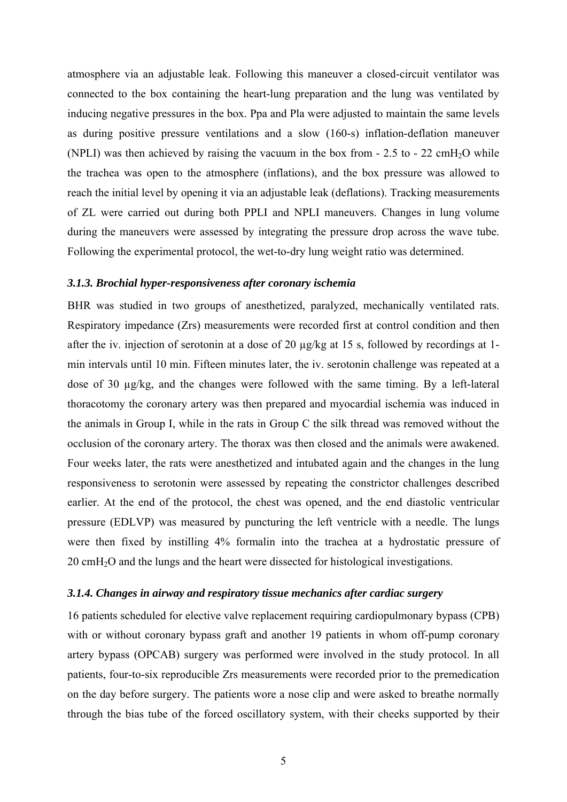atmosphere via an adjustable leak. Following this maneuver a closed-circuit ventilator was connected to the box containing the heart-lung preparation and the lung was ventilated by inducing negative pressures in the box. Ppa and Pla were adjusted to maintain the same levels as during positive pressure ventilations and a slow (160-s) inflation-deflation maneuver (NPLI) was then achieved by raising the vacuum in the box from  $-2.5$  to  $-22$  cmH<sub>2</sub>O while the trachea was open to the atmosphere (inflations), and the box pressure was allowed to reach the initial level by opening it via an adjustable leak (deflations). Tracking measurements of ZL were carried out during both PPLI and NPLI maneuvers. Changes in lung volume during the maneuvers were assessed by integrating the pressure drop across the wave tube. Following the experimental protocol, the wet-to-dry lung weight ratio was determined.

#### *3.1.3. Brochial hyper-responsiveness after coronary ischemia*

BHR was studied in two groups of anesthetized, paralyzed, mechanically ventilated rats. Respiratory impedance (Zrs) measurements were recorded first at control condition and then after the iv. injection of serotonin at a dose of 20 µg/kg at 15 s, followed by recordings at 1 min intervals until 10 min. Fifteen minutes later, the iv. serotonin challenge was repeated at a dose of 30 µg/kg, and the changes were followed with the same timing. By a left-lateral thoracotomy the coronary artery was then prepared and myocardial ischemia was induced in the animals in Group I, while in the rats in Group C the silk thread was removed without the occlusion of the coronary artery. The thorax was then closed and the animals were awakened. Four weeks later, the rats were anesthetized and intubated again and the changes in the lung responsiveness to serotonin were assessed by repeating the constrictor challenges described earlier. At the end of the protocol, the chest was opened, and the end diastolic ventricular pressure (EDLVP) was measured by puncturing the left ventricle with a needle. The lungs were then fixed by instilling 4% formalin into the trachea at a hydrostatic pressure of 20 cmH2O and the lungs and the heart were dissected for histological investigations.

#### *3.1.4. Changes in airway and respiratory tissue mechanics after cardiac surgery*

16 patients scheduled for elective valve replacement requiring cardiopulmonary bypass (CPB) with or without coronary bypass graft and another 19 patients in whom off-pump coronary artery bypass (OPCAB) surgery was performed were involved in the study protocol. In all patients, four-to-six reproducible Zrs measurements were recorded prior to the premedication on the day before surgery. The patients wore a nose clip and were asked to breathe normally through the bias tube of the forced oscillatory system, with their cheeks supported by their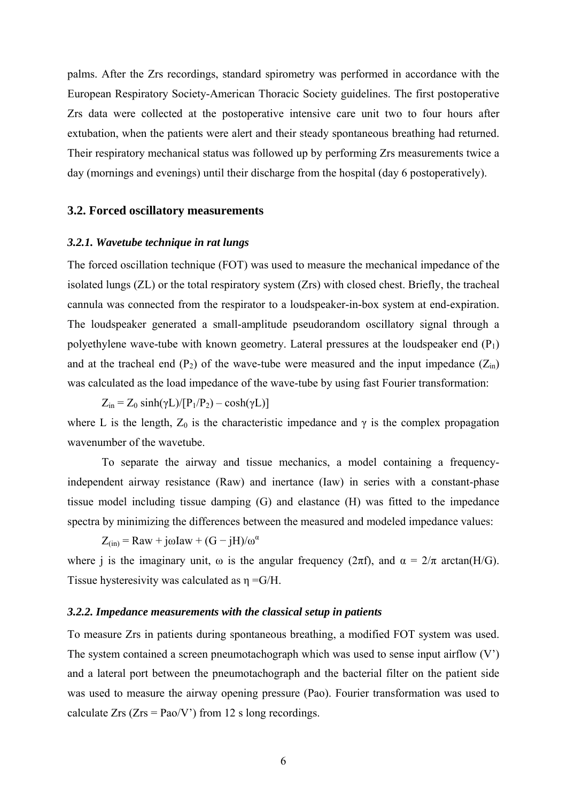palms. After the Zrs recordings, standard spirometry was performed in accordance with the European Respiratory Society-American Thoracic Society guidelines. The first postoperative Zrs data were collected at the postoperative intensive care unit two to four hours after extubation, when the patients were alert and their steady spontaneous breathing had returned. Their respiratory mechanical status was followed up by performing Zrs measurements twice a day (mornings and evenings) until their discharge from the hospital (day 6 postoperatively).

#### **3.2. Forced oscillatory measurements**

#### *3.2.1. Wavetube technique in rat lungs*

The forced oscillation technique (FOT) was used to measure the mechanical impedance of the isolated lungs (ZL) or the total respiratory system (Zrs) with closed chest. Briefly, the tracheal cannula was connected from the respirator to a loudspeaker-in-box system at end-expiration. The loudspeaker generated a small-amplitude pseudorandom oscillatory signal through a polyethylene wave-tube with known geometry. Lateral pressures at the loudspeaker end  $(P_1)$ and at the tracheal end  $(P_2)$  of the wave-tube were measured and the input impedance  $(Z_{in})$ was calculated as the load impedance of the wave-tube by using fast Fourier transformation:

 $Z_{\text{in}} = Z_0 \sinh(\gamma L)/[P_1/P_2) - \cosh(\gamma L)]$ where L is the length,  $Z_0$  is the characteristic impedance and  $\gamma$  is the complex propagation wavenumber of the wavetube.

To separate the airway and tissue mechanics, a model containing a frequencyindependent airway resistance (Raw) and inertance (Iaw) in series with a constant-phase tissue model including tissue damping (G) and elastance (H) was fitted to the impedance spectra by minimizing the differences between the measured and modeled impedance values:

 $Z_{(in)} = Raw + j\omega Iaw + (G - jH)/\omega^{\alpha}$ 

where j is the imaginary unit,  $\omega$  is the angular frequency ( $2\pi f$ ), and  $\alpha = 2/\pi$  arctan(H/G). Tissue hysteresivity was calculated as  $\eta = G/H$ .

#### *3.2.2. Impedance measurements with the classical setup in patients*

To measure Zrs in patients during spontaneous breathing, a modified FOT system was used. The system contained a screen pneumotachograph which was used to sense input airflow (V') and a lateral port between the pneumotachograph and the bacterial filter on the patient side was used to measure the airway opening pressure (Pao). Fourier transformation was used to calculate Zrs ( $Zrs = Pao/V$ ) from 12 s long recordings.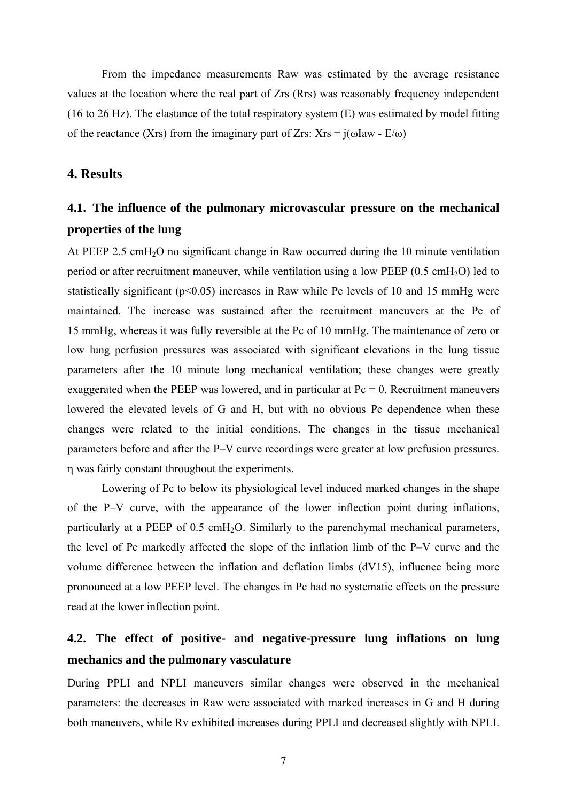From the impedance measurements Raw was estimated by the average resistance values at the location where the real part of Zrs (Rrs) was reasonably frequency independent (16 to 26 Hz). The elastance of the total respiratory system (E) was estimated by model fitting of the reactance (Xrs) from the imaginary part of Zrs:  $Xrs = i(\omega Iaw - E/\omega)$ 

# **4. Results**

# **4.1. The influence of the pulmonary microvascular pressure on the mechanical properties of the lung**

At PEEP 2.5 cmH<sub>2</sub>O no significant change in Raw occurred during the 10 minute ventilation period or after recruitment maneuver, while ventilation using a low PEEP  $(0.5 \text{ cmH}_2\text{O})$  led to statistically significant ( $p<0.05$ ) increases in Raw while Pc levels of 10 and 15 mmHg were maintained. The increase was sustained after the recruitment maneuvers at the Pc of 15 mmHg, whereas it was fully reversible at the Pc of 10 mmHg. The maintenance of zero or low lung perfusion pressures was associated with significant elevations in the lung tissue parameters after the 10 minute long mechanical ventilation; these changes were greatly exaggerated when the PEEP was lowered, and in particular at  $Pc = 0$ . Recruitment maneuvers lowered the elevated levels of G and H, but with no obvious Pc dependence when these changes were related to the initial conditions. The changes in the tissue mechanical parameters before and after the P–V curve recordings were greater at low prefusion pressures. η was fairly constant throughout the experiments.

Lowering of Pc to below its physiological level induced marked changes in the shape of the P–V curve, with the appearance of the lower inflection point during inflations, particularly at a PEEP of 0.5 cmH2O. Similarly to the parenchymal mechanical parameters, the level of Pc markedly affected the slope of the inflation limb of the P–V curve and the volume difference between the inflation and deflation limbs (dV15), influence being more pronounced at a low PEEP level. The changes in Pc had no systematic effects on the pressure read at the lower inflection point.

# **4.2. The effect of positive- and negative-pressure lung inflations on lung mechanics and the pulmonary vasculature**

During PPLI and NPLI maneuvers similar changes were observed in the mechanical parameters: the decreases in Raw were associated with marked increases in G and H during both maneuvers, while Rv exhibited increases during PPLI and decreased slightly with NPLI.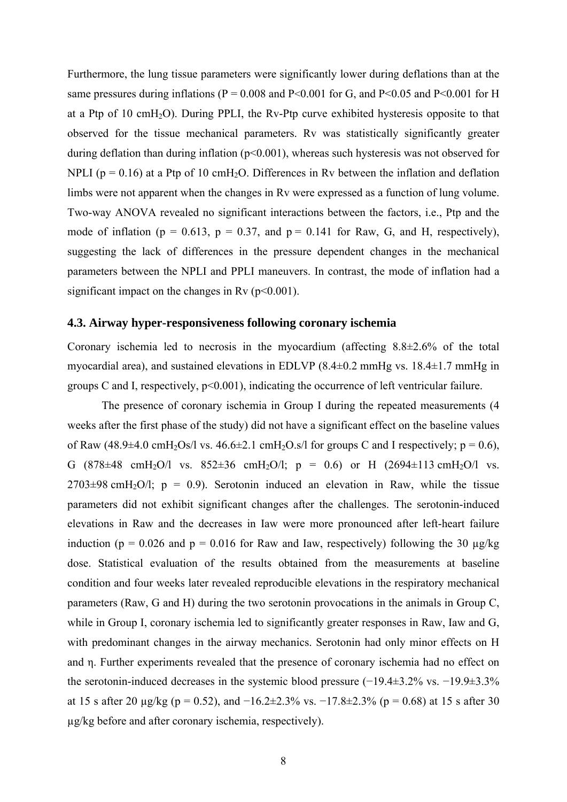Furthermore, the lung tissue parameters were significantly lower during deflations than at the same pressures during inflations ( $P = 0.008$  and  $P < 0.001$  for G, and  $P < 0.05$  and  $P < 0.001$  for H at a Ptp of 10 cmH<sub>2</sub>O). During PPLI, the Rv-Ptp curve exhibited hysteresis opposite to that observed for the tissue mechanical parameters. Rv was statistically significantly greater during deflation than during inflation ( $p<0.001$ ), whereas such hysteresis was not observed for NPLI ( $p = 0.16$ ) at a Ptp of 10 cmH<sub>2</sub>O. Differences in Rv between the inflation and deflation limbs were not apparent when the changes in Rv were expressed as a function of lung volume. Two-way ANOVA revealed no significant interactions between the factors, i.e., Ptp and the mode of inflation ( $p = 0.613$ ,  $p = 0.37$ , and  $p = 0.141$  for Raw, G, and H, respectively), suggesting the lack of differences in the pressure dependent changes in the mechanical parameters between the NPLI and PPLI maneuvers. In contrast, the mode of inflation had a significant impact on the changes in Rv  $(p<0.001)$ .

#### **4.3. Airway hyper-responsiveness following coronary ischemia**

Coronary ischemia led to necrosis in the myocardium (affecting 8.8±2.6% of the total myocardial area), and sustained elevations in EDLVP (8.4±0.2 mmHg vs. 18.4±1.7 mmHg in groups C and I, respectively,  $p<0.001$ ), indicating the occurrence of left ventricular failure.

The presence of coronary ischemia in Group I during the repeated measurements (4 weeks after the first phase of the study) did not have a significant effect on the baseline values of Raw (48.9 $\pm$ 4.0 cmH<sub>2</sub>Os/l vs. 46.6 $\pm$ 2.1 cmH<sub>2</sub>O.s/l for groups C and I respectively; p = 0.6), G  $(878\pm48 \text{ cmH}_2\text{O}/\text{l} \text{ vs. } 852\pm36 \text{ cmH}_2\text{O}/\text{l}; \text{ p} = 0.6) \text{ or H} (2694\pm113 \text{ cmH}_2\text{O}/\text{l} \text{ vs. } 852\pm36 \text{ cmH}_2\text{O}/\text{l} \text{ vs. } 852\pm36 \text{ cmH}_2\text{O}/\text{l} \text{ vs. } 852\pm36 \text{ cmH}_2\text{O}/\text{l} \text{ vs. } 852\pm36 \text{ cmH}_2\text{O}/\text{l} \$  $2703\pm98$  cmH<sub>2</sub>O/l; p = 0.9). Serotonin induced an elevation in Raw, while the tissue parameters did not exhibit significant changes after the challenges. The serotonin-induced elevations in Raw and the decreases in Iaw were more pronounced after left-heart failure induction ( $p = 0.026$  and  $p = 0.016$  for Raw and Iaw, respectively) following the 30  $\mu$ g/kg dose. Statistical evaluation of the results obtained from the measurements at baseline condition and four weeks later revealed reproducible elevations in the respiratory mechanical parameters (Raw, G and H) during the two serotonin provocations in the animals in Group C, while in Group I, coronary ischemia led to significantly greater responses in Raw, Iaw and G, with predominant changes in the airway mechanics. Serotonin had only minor effects on H and η. Further experiments revealed that the presence of coronary ischemia had no effect on the serotonin-induced decreases in the systemic blood pressure (−19.4±3.2% vs. −19.9±3.3% at 15 s after 20 µg/kg (p = 0.52), and  $-16.2 \pm 2.3\%$  vs.  $-17.8 \pm 2.3\%$  (p = 0.68) at 15 s after 30 µg/kg before and after coronary ischemia, respectively).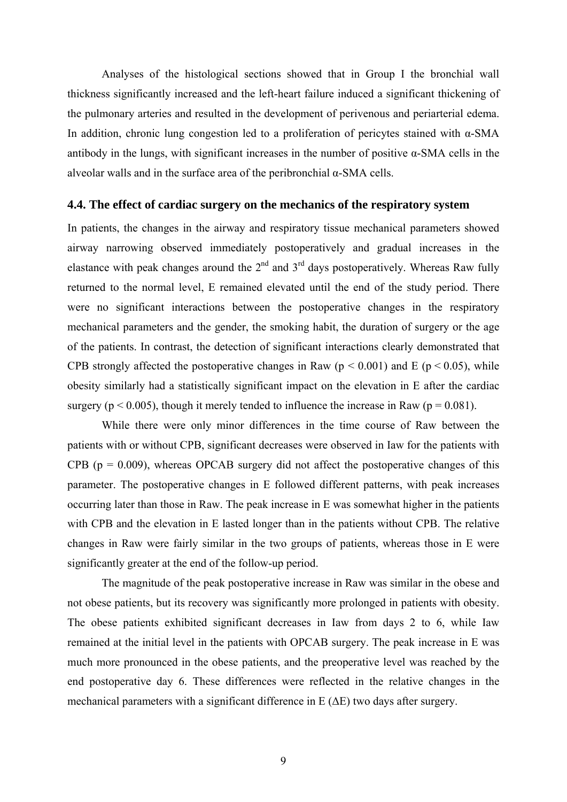Analyses of the histological sections showed that in Group I the bronchial wall thickness significantly increased and the left-heart failure induced a significant thickening of the pulmonary arteries and resulted in the development of perivenous and periarterial edema. In addition, chronic lung congestion led to a proliferation of pericytes stained with α-SMA antibody in the lungs, with significant increases in the number of positive  $\alpha$ -SMA cells in the alveolar walls and in the surface area of the peribronchial α-SMA cells.

#### **4.4. The effect of cardiac surgery on the mechanics of the respiratory system**

In patients, the changes in the airway and respiratory tissue mechanical parameters showed airway narrowing observed immediately postoperatively and gradual increases in the elastance with peak changes around the  $2<sup>nd</sup>$  and  $3<sup>rd</sup>$  days postoperatively. Whereas Raw fully returned to the normal level, E remained elevated until the end of the study period. There were no significant interactions between the postoperative changes in the respiratory mechanical parameters and the gender, the smoking habit, the duration of surgery or the age of the patients. In contrast, the detection of significant interactions clearly demonstrated that CPB strongly affected the postoperative changes in Raw ( $p < 0.001$ ) and E ( $p < 0.05$ ), while obesity similarly had a statistically significant impact on the elevation in E after the cardiac surgery ( $p < 0.005$ ), though it merely tended to influence the increase in Raw ( $p = 0.081$ ).

While there were only minor differences in the time course of Raw between the patients with or without CPB, significant decreases were observed in Iaw for the patients with CPB ( $p = 0.009$ ), whereas OPCAB surgery did not affect the postoperative changes of this parameter. The postoperative changes in E followed different patterns, with peak increases occurring later than those in Raw. The peak increase in E was somewhat higher in the patients with CPB and the elevation in E lasted longer than in the patients without CPB. The relative changes in Raw were fairly similar in the two groups of patients, whereas those in E were significantly greater at the end of the follow-up period.

The magnitude of the peak postoperative increase in Raw was similar in the obese and not obese patients, but its recovery was significantly more prolonged in patients with obesity. The obese patients exhibited significant decreases in Iaw from days 2 to 6, while Iaw remained at the initial level in the patients with OPCAB surgery. The peak increase in E was much more pronounced in the obese patients, and the preoperative level was reached by the end postoperative day 6. These differences were reflected in the relative changes in the mechanical parameters with a significant difference in  $E(\Delta E)$  two days after surgery.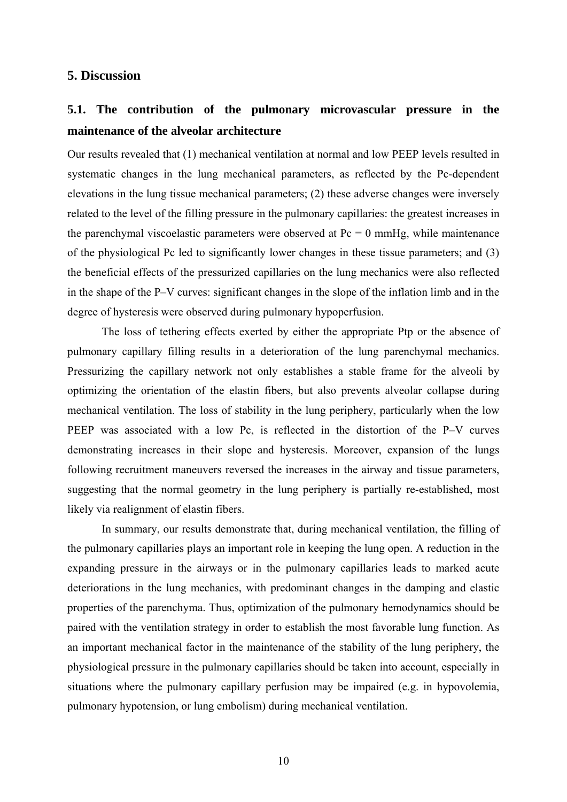## **5. Discussion**

# **5.1. The contribution of the pulmonary microvascular pressure in the maintenance of the alveolar architecture**

Our results revealed that (1) mechanical ventilation at normal and low PEEP levels resulted in systematic changes in the lung mechanical parameters, as reflected by the Pc-dependent elevations in the lung tissue mechanical parameters; (2) these adverse changes were inversely related to the level of the filling pressure in the pulmonary capillaries: the greatest increases in the parenchymal viscoelastic parameters were observed at  $Pc = 0$  mmHg, while maintenance of the physiological Pc led to significantly lower changes in these tissue parameters; and (3) the beneficial effects of the pressurized capillaries on the lung mechanics were also reflected in the shape of the P–V curves: significant changes in the slope of the inflation limb and in the degree of hysteresis were observed during pulmonary hypoperfusion.

The loss of tethering effects exerted by either the appropriate Ptp or the absence of pulmonary capillary filling results in a deterioration of the lung parenchymal mechanics. Pressurizing the capillary network not only establishes a stable frame for the alveoli by optimizing the orientation of the elastin fibers, but also prevents alveolar collapse during mechanical ventilation. The loss of stability in the lung periphery, particularly when the low PEEP was associated with a low Pc, is reflected in the distortion of the P–V curves demonstrating increases in their slope and hysteresis. Moreover, expansion of the lungs following recruitment maneuvers reversed the increases in the airway and tissue parameters, suggesting that the normal geometry in the lung periphery is partially re-established, most likely via realignment of elastin fibers.

In summary, our results demonstrate that, during mechanical ventilation, the filling of the pulmonary capillaries plays an important role in keeping the lung open. A reduction in the expanding pressure in the airways or in the pulmonary capillaries leads to marked acute deteriorations in the lung mechanics, with predominant changes in the damping and elastic properties of the parenchyma. Thus, optimization of the pulmonary hemodynamics should be paired with the ventilation strategy in order to establish the most favorable lung function. As an important mechanical factor in the maintenance of the stability of the lung periphery, the physiological pressure in the pulmonary capillaries should be taken into account, especially in situations where the pulmonary capillary perfusion may be impaired (e.g. in hypovolemia, pulmonary hypotension, or lung embolism) during mechanical ventilation.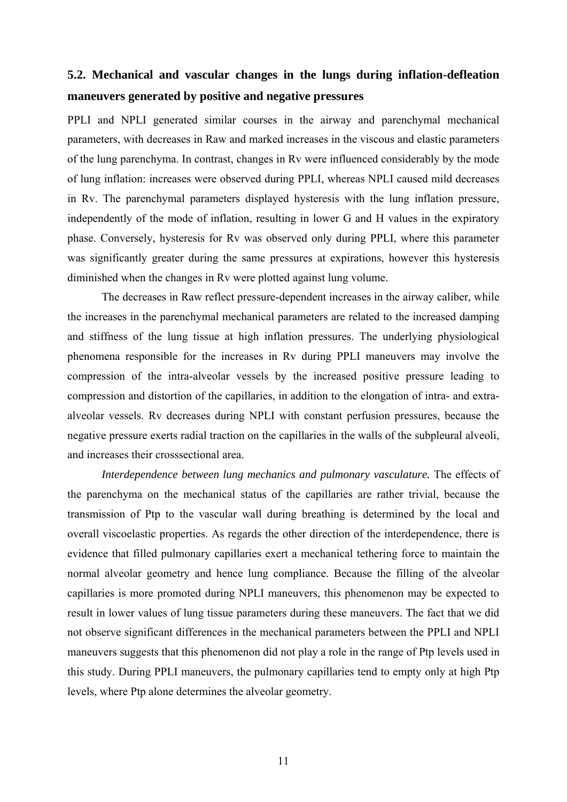# **5.2. Mechanical and vascular changes in the lungs during inflation-defleation maneuvers generated by positive and negative pressures**

PPLI and NPLI generated similar courses in the airway and parenchymal mechanical parameters, with decreases in Raw and marked increases in the viscous and elastic parameters of the lung parenchyma. In contrast, changes in Rv were influenced considerably by the mode of lung inflation: increases were observed during PPLI, whereas NPLI caused mild decreases in Rv. The parenchymal parameters displayed hysteresis with the lung inflation pressure, independently of the mode of inflation, resulting in lower G and H values in the expiratory phase. Conversely, hysteresis for Rv was observed only during PPLI, where this parameter was significantly greater during the same pressures at expirations, however this hysteresis diminished when the changes in Rv were plotted against lung volume.

The decreases in Raw reflect pressure-dependent increases in the airway caliber, while the increases in the parenchymal mechanical parameters are related to the increased damping and stiffness of the lung tissue at high inflation pressures. The underlying physiological phenomena responsible for the increases in Rv during PPLI maneuvers may involve the compression of the intra-alveolar vessels by the increased positive pressure leading to compression and distortion of the capillaries, in addition to the elongation of intra- and extraalveolar vessels. Rv decreases during NPLI with constant perfusion pressures, because the negative pressure exerts radial traction on the capillaries in the walls of the subpleural alveoli, and increases their crosssectional area.

*Interdependence between lung mechanics and pulmonary vasculature.* The effects of the parenchyma on the mechanical status of the capillaries are rather trivial, because the transmission of Ptp to the vascular wall during breathing is determined by the local and overall viscoelastic properties. As regards the other direction of the interdependence, there is evidence that filled pulmonary capillaries exert a mechanical tethering force to maintain the normal alveolar geometry and hence lung compliance. Because the filling of the alveolar capillaries is more promoted during NPLI maneuvers, this phenomenon may be expected to result in lower values of lung tissue parameters during these maneuvers. The fact that we did not observe significant differences in the mechanical parameters between the PPLI and NPLI maneuvers suggests that this phenomenon did not play a role in the range of Ptp levels used in this study. During PPLI maneuvers, the pulmonary capillaries tend to empty only at high Ptp levels, where Ptp alone determines the alveolar geometry.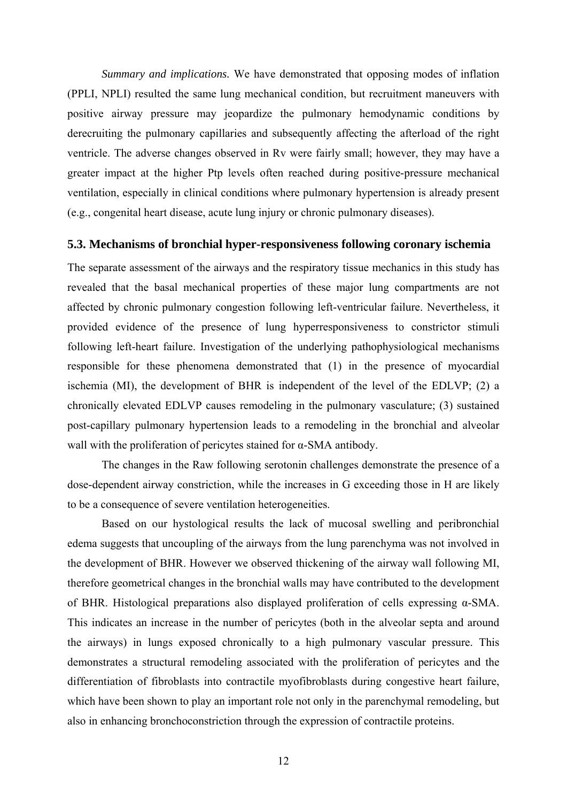*Summary and implications.* We have demonstrated that opposing modes of inflation (PPLI, NPLI) resulted the same lung mechanical condition, but recruitment maneuvers with positive airway pressure may jeopardize the pulmonary hemodynamic conditions by derecruiting the pulmonary capillaries and subsequently affecting the afterload of the right ventricle. The adverse changes observed in Rv were fairly small; however, they may have a greater impact at the higher Ptp levels often reached during positive-pressure mechanical ventilation, especially in clinical conditions where pulmonary hypertension is already present (e.g., congenital heart disease, acute lung injury or chronic pulmonary diseases).

#### **5.3. Mechanisms of bronchial hyper-responsiveness following coronary ischemia**

The separate assessment of the airways and the respiratory tissue mechanics in this study has revealed that the basal mechanical properties of these major lung compartments are not affected by chronic pulmonary congestion following left-ventricular failure. Nevertheless, it provided evidence of the presence of lung hyperresponsiveness to constrictor stimuli following left-heart failure. Investigation of the underlying pathophysiological mechanisms responsible for these phenomena demonstrated that (1) in the presence of myocardial ischemia (MI), the development of BHR is independent of the level of the EDLVP; (2) a chronically elevated EDLVP causes remodeling in the pulmonary vasculature; (3) sustained post-capillary pulmonary hypertension leads to a remodeling in the bronchial and alveolar wall with the proliferation of pericytes stained for α-SMA antibody.

The changes in the Raw following serotonin challenges demonstrate the presence of a dose-dependent airway constriction, while the increases in G exceeding those in H are likely to be a consequence of severe ventilation heterogeneities.

Based on our hystological results the lack of mucosal swelling and peribronchial edema suggests that uncoupling of the airways from the lung parenchyma was not involved in the development of BHR. However we observed thickening of the airway wall following MI, therefore geometrical changes in the bronchial walls may have contributed to the development of BHR. Histological preparations also displayed proliferation of cells expressing α-SMA. This indicates an increase in the number of pericytes (both in the alveolar septa and around the airways) in lungs exposed chronically to a high pulmonary vascular pressure. This demonstrates a structural remodeling associated with the proliferation of pericytes and the differentiation of fibroblasts into contractile myofibroblasts during congestive heart failure, which have been shown to play an important role not only in the parenchymal remodeling, but also in enhancing bronchoconstriction through the expression of contractile proteins.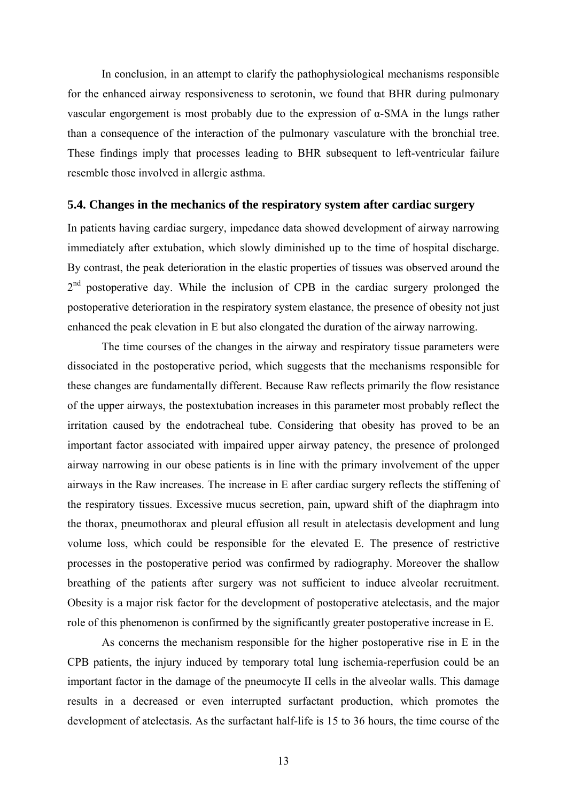In conclusion, in an attempt to clarify the pathophysiological mechanisms responsible for the enhanced airway responsiveness to serotonin, we found that BHR during pulmonary vascular engorgement is most probably due to the expression of α-SMA in the lungs rather than a consequence of the interaction of the pulmonary vasculature with the bronchial tree. These findings imply that processes leading to BHR subsequent to left-ventricular failure resemble those involved in allergic asthma.

#### **5.4. Changes in the mechanics of the respiratory system after cardiac surgery**

In patients having cardiac surgery, impedance data showed development of airway narrowing immediately after extubation, which slowly diminished up to the time of hospital discharge. By contrast, the peak deterioration in the elastic properties of tissues was observed around the  $2<sup>nd</sup>$  postoperative day. While the inclusion of CPB in the cardiac surgery prolonged the postoperative deterioration in the respiratory system elastance, the presence of obesity not just enhanced the peak elevation in E but also elongated the duration of the airway narrowing.

The time courses of the changes in the airway and respiratory tissue parameters were dissociated in the postoperative period, which suggests that the mechanisms responsible for these changes are fundamentally different. Because Raw reflects primarily the flow resistance of the upper airways, the postextubation increases in this parameter most probably reflect the irritation caused by the endotracheal tube. Considering that obesity has proved to be an important factor associated with impaired upper airway patency, the presence of prolonged airway narrowing in our obese patients is in line with the primary involvement of the upper airways in the Raw increases. The increase in E after cardiac surgery reflects the stiffening of the respiratory tissues. Excessive mucus secretion, pain, upward shift of the diaphragm into the thorax, pneumothorax and pleural effusion all result in atelectasis development and lung volume loss, which could be responsible for the elevated E. The presence of restrictive processes in the postoperative period was confirmed by radiography. Moreover the shallow breathing of the patients after surgery was not sufficient to induce alveolar recruitment. Obesity is a major risk factor for the development of postoperative atelectasis, and the major role of this phenomenon is confirmed by the significantly greater postoperative increase in E.

As concerns the mechanism responsible for the higher postoperative rise in E in the CPB patients, the injury induced by temporary total lung ischemia-reperfusion could be an important factor in the damage of the pneumocyte II cells in the alveolar walls. This damage results in a decreased or even interrupted surfactant production, which promotes the development of atelectasis. As the surfactant half-life is 15 to 36 hours, the time course of the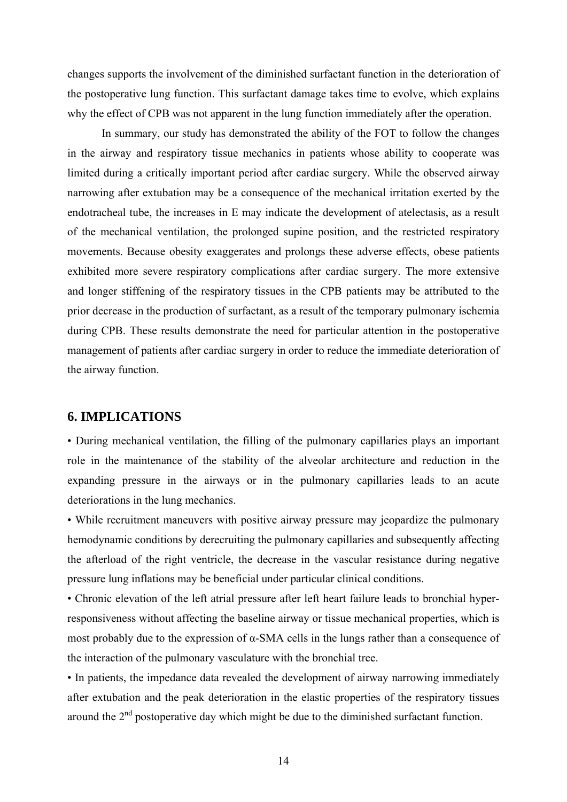changes supports the involvement of the diminished surfactant function in the deterioration of the postoperative lung function. This surfactant damage takes time to evolve, which explains why the effect of CPB was not apparent in the lung function immediately after the operation.

In summary, our study has demonstrated the ability of the FOT to follow the changes in the airway and respiratory tissue mechanics in patients whose ability to cooperate was limited during a critically important period after cardiac surgery. While the observed airway narrowing after extubation may be a consequence of the mechanical irritation exerted by the endotracheal tube, the increases in E may indicate the development of atelectasis, as a result of the mechanical ventilation, the prolonged supine position, and the restricted respiratory movements. Because obesity exaggerates and prolongs these adverse effects, obese patients exhibited more severe respiratory complications after cardiac surgery. The more extensive and longer stiffening of the respiratory tissues in the CPB patients may be attributed to the prior decrease in the production of surfactant, as a result of the temporary pulmonary ischemia during CPB. These results demonstrate the need for particular attention in the postoperative management of patients after cardiac surgery in order to reduce the immediate deterioration of the airway function.

## **6. IMPLICATIONS**

• During mechanical ventilation, the filling of the pulmonary capillaries plays an important role in the maintenance of the stability of the alveolar architecture and reduction in the expanding pressure in the airways or in the pulmonary capillaries leads to an acute deteriorations in the lung mechanics.

• While recruitment maneuvers with positive airway pressure may jeopardize the pulmonary hemodynamic conditions by derecruiting the pulmonary capillaries and subsequently affecting the afterload of the right ventricle, the decrease in the vascular resistance during negative pressure lung inflations may be beneficial under particular clinical conditions.

• Chronic elevation of the left atrial pressure after left heart failure leads to bronchial hyperresponsiveness without affecting the baseline airway or tissue mechanical properties, which is most probably due to the expression of  $\alpha$ -SMA cells in the lungs rather than a consequence of the interaction of the pulmonary vasculature with the bronchial tree.

• In patients, the impedance data revealed the development of airway narrowing immediately after extubation and the peak deterioration in the elastic properties of the respiratory tissues around the  $2<sup>nd</sup>$  postoperative day which might be due to the diminished surfactant function.